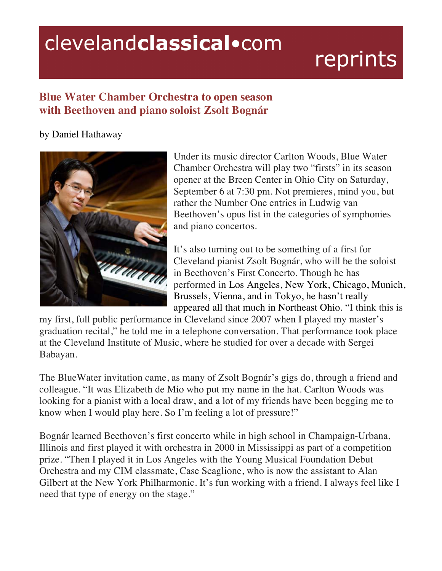## clevelandclassical.com

## reprints

## **Blue Water Chamber Orchestra to open season with Beethoven and piano soloist Zsolt Bognár**

## by Daniel Hathaway



Under its music director Carlton Woods, Blue Water Chamber Orchestra will play two "firsts" in its season opener at the Breen Center in Ohio City on Saturday, September 6 at 7:30 pm. Not premieres, mind you, but rather the Number One entries in Ludwig van Beethoven's opus list in the categories of symphonies and piano concertos.

It's also turning out to be something of a first for Cleveland pianist Zsolt Bognár, who will be the soloist in Beethoven's First Concerto. Though he has performed in Los Angeles, New York, Chicago, Munich, Brussels, Vienna, and in Tokyo, he hasn't really appeared all that much in Northeast Ohio. "I think this is

my first, full public performance in Cleveland since 2007 when I played my master's graduation recital," he told me in a telephone conversation. That performance took place at the Cleveland Institute of Music, where he studied for over a decade with Sergei Babayan.

The BlueWater invitation came, as many of Zsolt Bognár's gigs do, through a friend and colleague. "It was Elizabeth de Mio who put my name in the hat. Carlton Woods was looking for a pianist with a local draw, and a lot of my friends have been begging me to know when I would play here. So I'm feeling a lot of pressure!"

Bognár learned Beethoven's first concerto while in high school in Champaign-Urbana, Illinois and first played it with orchestra in 2000 in Mississippi as part of a competition prize. "Then I played it in Los Angeles with the Young Musical Foundation Debut Orchestra and my CIM classmate, Case Scaglione, who is now the assistant to Alan Gilbert at the New York Philharmonic. It's fun working with a friend. I always feel like I need that type of energy on the stage."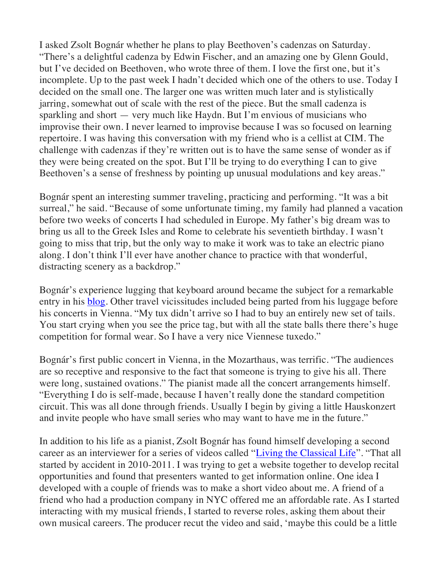I asked Zsolt Bognár whether he plans to play Beethoven's cadenzas on Saturday. "There's a delightful cadenza by Edwin Fischer, and an amazing one by Glenn Gould, but I've decided on Beethoven, who wrote three of them. I love the first one, but it's incomplete. Up to the past week I hadn't decided which one of the others to use. Today I decided on the small one. The larger one was written much later and is stylistically jarring, somewhat out of scale with the rest of the piece. But the small cadenza is sparkling and short — very much like Haydn. But I'm envious of musicians who improvise their own. I never learned to improvise because I was so focused on learning repertoire. I was having this conversation with my friend who is a cellist at CIM. The challenge with cadenzas if they're written out is to have the same sense of wonder as if they were being created on the spot. But I'll be trying to do everything I can to give Beethoven's a sense of freshness by pointing up unusual modulations and key areas."

Bognár spent an interesting summer traveling, practicing and performing. "It was a bit surreal," he said. "Because of some unfortunate timing, my family had planned a vacation before two weeks of concerts I had scheduled in Europe. My father's big dream was to bring us all to the Greek Isles and Rome to celebrate his seventieth birthday. I wasn't going to miss that trip, but the only way to make it work was to take an electric piano along. I don't think I'll ever have another chance to practice with that wonderful, distracting scenery as a backdrop."

Bognár's experience lugging that keyboard around became the subject for a remarkable entry in his blog. Other travel vicissitudes included being parted from his luggage before his concerts in Vienna. "My tux didn't arrive so I had to buy an entirely new set of tails. You start crying when you see the price tag, but with all the state balls there there's huge competition for formal wear. So I have a very nice Viennese tuxedo."

Bognár's first public concert in Vienna, in the Mozarthaus, was terrific. "The audiences are so receptive and responsive to the fact that someone is trying to give his all. There were long, sustained ovations." The pianist made all the concert arrangements himself. "Everything I do is self-made, because I haven't really done the standard competition circuit. This was all done through friends. Usually I begin by giving a little Hauskonzert and invite people who have small series who may want to have me in the future."

In addition to his life as a pianist, Zsolt Bognár has found himself developing a second career as an interviewer for a series of videos called "Living the Classical Life". "That all started by accident in 2010-2011. I was trying to get a website together to develop recital opportunities and found that presenters wanted to get information online. One idea I developed with a couple of friends was to make a short video about me. A friend of a friend who had a production company in NYC offered me an affordable rate. As I started interacting with my musical friends, I started to reverse roles, asking them about their own musical careers. The producer recut the video and said, 'maybe this could be a little